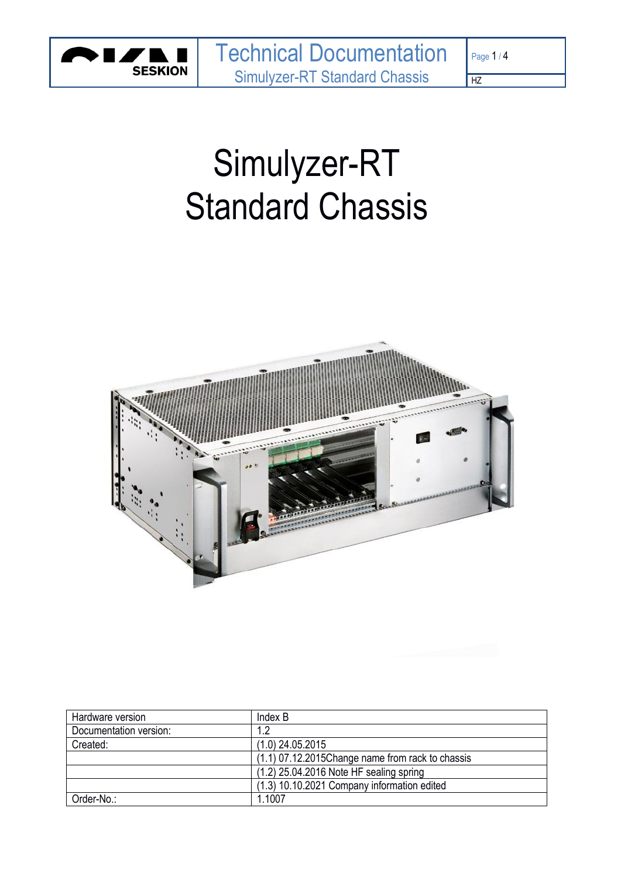

 $\overline{HZ}$ 

# Simulyzer-RT Standard Chassis



| Hardware version       | Index B                                             |
|------------------------|-----------------------------------------------------|
| Documentation version: | 1.2                                                 |
| Created:               | $(1.0)$ 24.05.2015                                  |
|                        | $(1.1)$ 07.12.2015 Change name from rack to chassis |
|                        | (1.2) 25.04.2016 Note HF sealing spring             |
|                        | (1.3) 10.10.2021 Company information edited         |
| Order-No.:             | 1.1007                                              |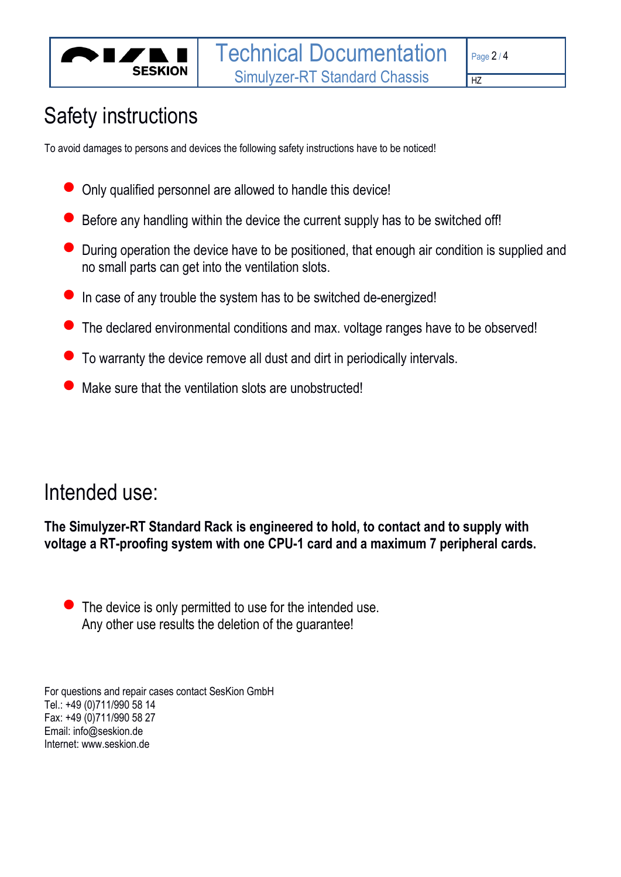

#### $\overline{HZ}$

# Safety instructions

To avoid damages to persons and devices the following safety instructions have to be noticed!

- Only qualified personnel are allowed to handle this device!
- Before any handling within the device the current supply has to be switched off!
- During operation the device have to be positioned, that enough air condition is supplied and no small parts can get into the ventilation slots.
- In case of any trouble the system has to be switched de-energized!
- The declared environmental conditions and max. voltage ranges have to be observed!
- To warranty the device remove all dust and dirt in periodically intervals.
- Make sure that the ventilation slots are unobstructed!

# Intended use:

**The Simulyzer-RT Standard Rack is engineered to hold, to contact and to supply with voltage a RT-proofing system with one CPU-1 card and a maximum 7 peripheral cards.**

 $\bullet$  The device is only permitted to use for the intended use. Any other use results the deletion of the guarantee!

For questions and repair cases contact SesKion GmbH Tel.: +49 (0)711/990 58 14 Fax: +49 (0)711/990 58 27 Email: info@seskion.de Internet: www.seskion.de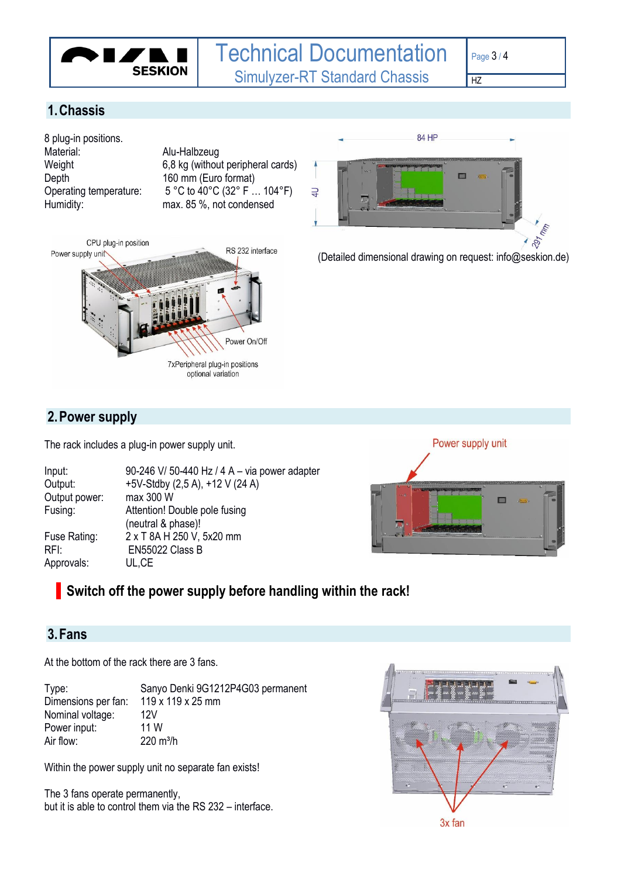

 $HZ$ 

# **1.Chassis**

8 plug-in positions.<br>Material: Depth 160 mm (Euro format)

Alu-Halbzeug Weight 6,8 kg (without peripheral cards) Operating temperature: 5 °C to 40°C (32° F … 104°F) Humidity: max. 85 %, not condensed





(Detailed dimensional drawing on request: info@seskion.de)

# **2.Power supply**

The rack includes a plug-in power supply unit.

| Input:        | 90-246 V/ 50-440 Hz / 4 A - via power adapter |
|---------------|-----------------------------------------------|
| Output:       | +5V-Stdby (2,5 A), +12 V (24 A)               |
| Output power: | max 300 W                                     |
| Fusing:       | Attention! Double pole fusing                 |
|               | (neutral & phase)!                            |
| Fuse Rating:  | 2 x T 8A H 250 V, 5x20 mm                     |
| RFI:          | EN55022 Class B                               |
| Approvals:    | UL,CE                                         |



# **Switch off the power supply before handling within the rack!**

### **3.Fans**

At the bottom of the rack there are 3 fans.

| Type:               | Sanyo Denki 9G1212P4G03 permanent |
|---------------------|-----------------------------------|
| Dimensions per fan: | 119 x 119 x 25 mm                 |
| Nominal voltage:    | 12V                               |
| Power input:        | 11 W                              |
| Air flow:           | $220 \text{ m}^3$ /h              |

Within the power supply unit no separate fan exists!

The 3 fans operate permanently, but it is able to control them via the RS 232 – interface.